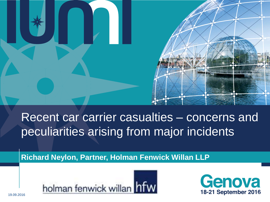

# Recent car carrier casualties – concerns and peculiarities arising from major incidents

**Richard Neylon, Partner, Holman Fenwick Willan LLP**



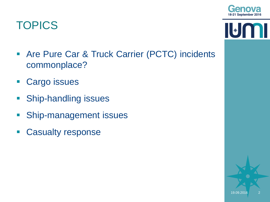

# **TOPICS**

- **Are Pure Car & Truck Carrier (PCTC) incidents** commonplace?
- **Cargo issues**
- **Ship-handling issues**
- **Ship-management issues**
- **Casualty response**



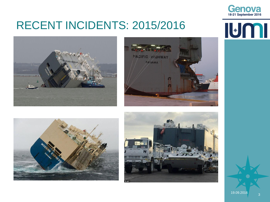

IUMI

### RECENT INCIDENTS: 2015/2016









19.09.2016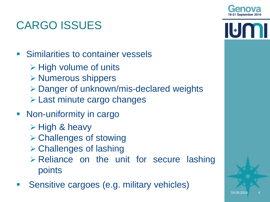# CARGO ISSUES

- **Similarities to container vessels** 
	- $\triangleright$  High volume of units
	- $\triangleright$  Numerous shippers
	- Danger of unknown/mis-declared weights
	- **Last minute cargo changes**
- Non-uniformity in cargo
	- $\triangleright$  High & heavy
	- Challenges of stowing
	- Challenges of lashing
	- Reliance on the unit for secure lashing points
- Sensitive cargoes (e.g. military vehicles)

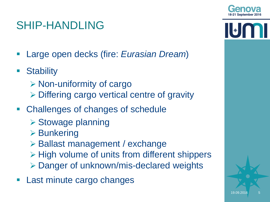

\*

# SHIP-HANDLING

- Large open decks (fire: *Eurasian Dream*)
- **Stability** 
	- $\triangleright$  Non-uniformity of cargo
	- Differing cargo vertical centre of gravity
- Challenges of changes of schedule
	- $\triangleright$  Stowage planning
	- $\triangleright$  Bunkering
	- Ballast management / exchange
	- > High volume of units from different shippers
	- Danger of unknown/mis-declared weights
- Last minute cargo changes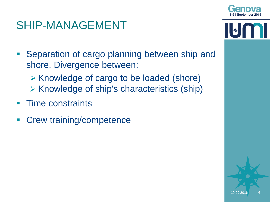

 $\left\| \boldsymbol{*} \right\|$ 

19.09.2016

#### SHIP-MANAGEMENT

- **Separation of cargo planning between ship and** shore. Divergence between:
	- **► Knowledge of cargo to be loaded (shore)**  $\triangleright$  Knowledge of ship's characteristics (ship)
- Time constraints
- Crew training/competence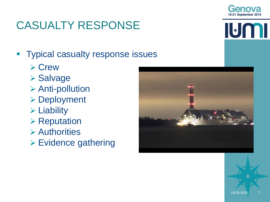

# CASUALTY RESPONSE

IL DO T

- **Typical casualty response issues** 
	- **≻ Crew**
	- Salvage
	- Anti-pollution
	- **▶ Deployment**
	- $\triangleright$  Liability
	- $\triangleright$  Reputation
	- Authorities
	- Evidence gathering

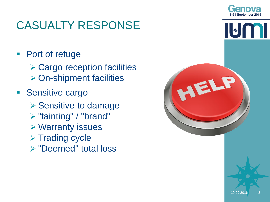

# CASUALTY RESPONSE

■ Port of refuge

- **≻ Cargo reception facilities ▶ On-shipment facilities**
- **Sensitive cargo** 
	- **▶ Sensitive to damage**
	- "tainting" / "brand"
	- Warranty issues
	- $\triangleright$  Trading cycle
	- "Deemed" total loss

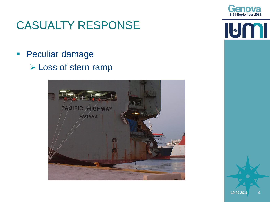

**IUMI** 

#### CASUALTY RESPONSE

**Peculiar damage** Loss of stern ramp

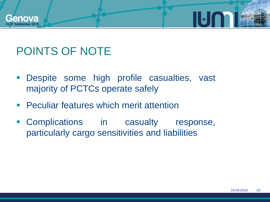

# POINTS OF NOTE

- Despite some high profile casualties, vast majority of PCTCs operate safely
- **Peculiar features which merit attention**
- **Complications** in casualty response, particularly cargo sensitivities and liabilities